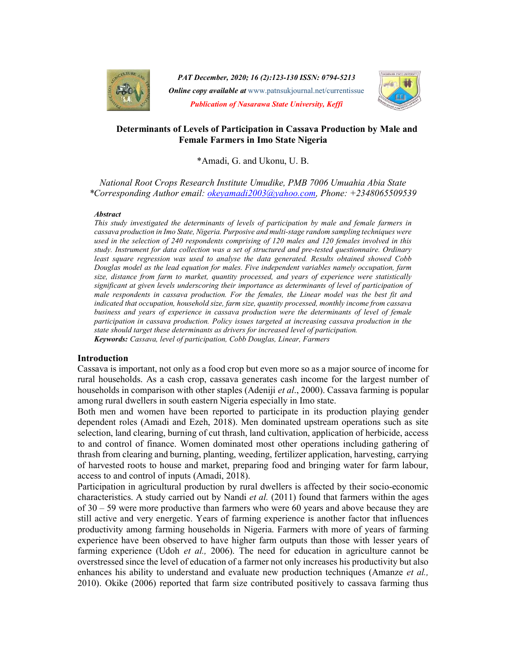

PAT December, 2020; 16 (2):123-130 ISSN: 0794-5213 **Online copy available at** www.patnsukjournal.net/currentissue Publication of Nasarawa State University, Keffi



## Determinants of Levels of Participation in Cassava Production by Male and Female Farmers in Imo State Nigeria

\*Amadi, G. and Ukonu, U. B.

National Root Crops Research Institute Umudike, PMB 7006 Umuahia Abia State \*Corresponding Author email: okeyamadi2003@yahoo.com, Phone: +2348065509539

#### **Abstract**

This study investigated the determinants of levels of participation by male and female farmers in cassava production in Imo State, Nigeria. Purposive and multi-stage random sampling techniques were used in the selection of 240 respondents comprising of 120 males and 120 females involved in this study. Instrument for data collection was a set of structured and pre-tested questionnaire. Ordinary least square regression was used to analyse the data generated. Results obtained showed Cobb Douglas model as the lead equation for males. Five independent variables namely occupation, farm size, distance from farm to market, quantity processed, and years of experience were statistically significant at given levels underscoring their importance as determinants of level of participation of male respondents in cassava production. For the females, the Linear model was the best fit and indicated that occupation, household size, farm size, quantity processed, monthly income from cassava business and years of experience in cassava production were the determinants of level of female participation in cassava production. Policy issues targeted at increasing cassava production in the state should target these determinants as drivers for increased level of participation. Keywords: Cassava, level of participation, Cobb Douglas, Linear, Farmers

#### Introduction

Cassava is important, not only as a food crop but even more so as a major source of income for rural households. As a cash crop, cassava generates cash income for the largest number of households in comparison with other staples (Adeniji *et al.*, 2000). Cassava farming is popular among rural dwellers in south eastern Nigeria especially in Imo state.

Both men and women have been reported to participate in its production playing gender dependent roles (Amadi and Ezeh, 2018). Men dominated upstream operations such as site selection, land clearing, burning of cut thrash, land cultivation, application of herbicide, access to and control of finance. Women dominated most other operations including gathering of thrash from clearing and burning, planting, weeding, fertilizer application, harvesting, carrying of harvested roots to house and market, preparing food and bringing water for farm labour, access to and control of inputs (Amadi, 2018).

Participation in agricultural production by rural dwellers is affected by their socio-economic characteristics. A study carried out by Nandi *et al.*  $(2011)$  found that farmers within the ages of 30 – 59 were more productive than farmers who were 60 years and above because they are still active and very energetic. Years of farming experience is another factor that influences productivity among farming households in Nigeria. Farmers with more of years of farming experience have been observed to have higher farm outputs than those with lesser years of farming experience (Udoh *et al.*, 2006). The need for education in agriculture cannot be overstressed since the level of education of a farmer not only increases his productivity but also enhances his ability to understand and evaluate new production techniques (Amanze et al., 2010). Okike (2006) reported that farm size contributed positively to cassava farming thus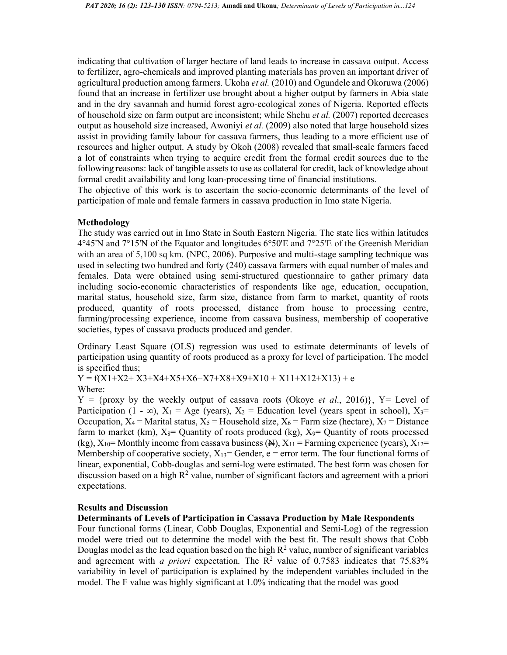indicating that cultivation of larger hectare of land leads to increase in cassava output. Access to fertilizer, agro-chemicals and improved planting materials has proven an important driver of agricultural production among farmers. Ukoha et al. (2010) and Ogundele and Okoruwa (2006) found that an increase in fertilizer use brought about a higher output by farmers in Abia state and in the dry savannah and humid forest agro-ecological zones of Nigeria. Reported effects of household size on farm output are inconsistent; while Shehu *et al.* (2007) reported decreases output as household size increased, Awoniyi et al. (2009) also noted that large household sizes assist in providing family labour for cassava farmers, thus leading to a more efficient use of resources and higher output. A study by Okoh (2008) revealed that small-scale farmers faced a lot of constraints when trying to acquire credit from the formal credit sources due to the following reasons: lack of tangible assets to use as collateral for credit, lack of knowledge about formal credit availability and long loan-processing time of financial institutions.

The objective of this work is to ascertain the socio-economic determinants of the level of participation of male and female farmers in cassava production in Imo state Nigeria.

## Methodology

The study was carried out in Imo State in South Eastern Nigeria. The state lies within latitudes 4°45'N and 7°15'N of the Equator and longitudes 6°50'E and 7°25'E of the Greenish Meridian with an area of 5,100 sq km. (NPC, 2006). Purposive and multi-stage sampling technique was used in selecting two hundred and forty (240) cassava farmers with equal number of males and females. Data were obtained using semi-structured questionnaire to gather primary data including socio-economic characteristics of respondents like age, education, occupation, marital status, household size, farm size, distance from farm to market, quantity of roots produced, quantity of roots processed, distance from house to processing centre, farming/processing experience, income from cassava business, membership of cooperative societies, types of cassava products produced and gender.

Ordinary Least Square (OLS) regression was used to estimate determinants of levels of participation using quantity of roots produced as a proxy for level of participation. The model is specified thus;

 $Y = f(X1+X2+X3+X4+X5+X6+X7+X8+X9+X10+X11+X12+X13) + e$ Where:

 $Y = \{proxy\ by\ the\ weekly\ output\ of\ cassava\ roots\ (Okoye\ et\ al.,\ 2016)\},\ Y = \text{Level of}$ Participation (1 - ∞),  $X_1$  = Age (years),  $X_2$  = Education level (years spent in school),  $X_3$ = Occupation,  $X_4$  = Marital status,  $X_5$  = Household size,  $X_6$  = Farm size (hectare),  $X_7$  = Distance farm to market (km),  $X_8$ = Quantity of roots produced (kg),  $X_9$ = Quantity of roots processed (kg),  $X_{10}$ = Monthly income from cassava business (N),  $X_{11}$  = Farming experience (years),  $X_{12}$ = Membership of cooperative society,  $X_{13}=$  Gender, e = error term. The four functional forms of linear, exponential, Cobb-douglas and semi-log were estimated. The best form was chosen for discussion based on a high  $R^2$  value, number of significant factors and agreement with a priori expectations.

#### Results and Discussion

## Determinants of Levels of Participation in Cassava Production by Male Respondents

Four functional forms (Linear, Cobb Douglas, Exponential and Semi-Log) of the regression model were tried out to determine the model with the best fit. The result shows that Cobb Douglas model as the lead equation based on the high  $R^2$  value, number of significant variables and agreement with *a priori* expectation. The  $\mathbb{R}^2$  value of 0.7583 indicates that 75.83% variability in level of participation is explained by the independent variables included in the model. The F value was highly significant at 1.0% indicating that the model was good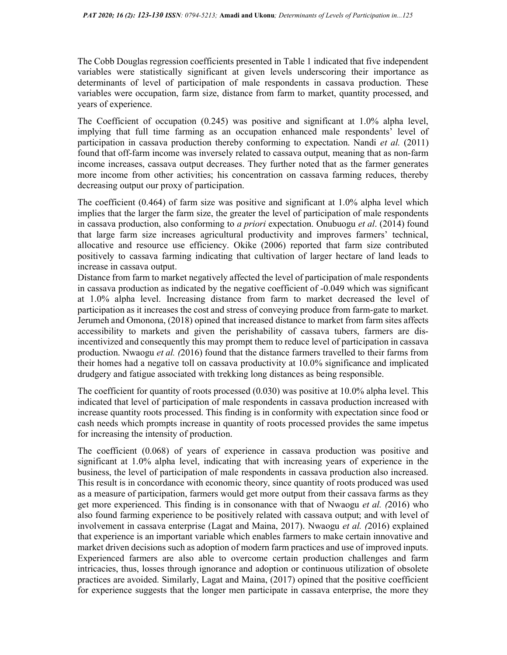The Cobb Douglas regression coefficients presented in Table 1 indicated that five independent variables were statistically significant at given levels underscoring their importance as determinants of level of participation of male respondents in cassava production. These variables were occupation, farm size, distance from farm to market, quantity processed, and years of experience.

The Coefficient of occupation (0.245) was positive and significant at 1.0% alpha level, implying that full time farming as an occupation enhanced male respondents' level of participation in cassava production thereby conforming to expectation. Nandi et al. (2011) found that off-farm income was inversely related to cassava output, meaning that as non-farm income increases, cassava output decreases. They further noted that as the farmer generates more income from other activities; his concentration on cassava farming reduces, thereby decreasing output our proxy of participation.

The coefficient (0.464) of farm size was positive and significant at 1.0% alpha level which implies that the larger the farm size, the greater the level of participation of male respondents in cassava production, also conforming to a priori expectation. Onubuogu et al. (2014) found that large farm size increases agricultural productivity and improves farmers' technical, allocative and resource use efficiency. Okike (2006) reported that farm size contributed positively to cassava farming indicating that cultivation of larger hectare of land leads to increase in cassava output.

Distance from farm to market negatively affected the level of participation of male respondents in cassava production as indicated by the negative coefficient of -0.049 which was significant at 1.0% alpha level. Increasing distance from farm to market decreased the level of participation as it increases the cost and stress of conveying produce from farm-gate to market. Jerumeh and Omonona, (2018) opined that increased distance to market from farm sites affects accessibility to markets and given the perishability of cassava tubers, farmers are disincentivized and consequently this may prompt them to reduce level of participation in cassava production. Nwaogu *et al.* (2016) found that the distance farmers travelled to their farms from their homes had a negative toll on cassava productivity at 10.0% significance and implicated drudgery and fatigue associated with trekking long distances as being responsible.

The coefficient for quantity of roots processed (0.030) was positive at 10.0% alpha level. This indicated that level of participation of male respondents in cassava production increased with increase quantity roots processed. This finding is in conformity with expectation since food or cash needs which prompts increase in quantity of roots processed provides the same impetus for increasing the intensity of production.

The coefficient (0.068) of years of experience in cassava production was positive and significant at 1.0% alpha level, indicating that with increasing years of experience in the business, the level of participation of male respondents in cassava production also increased. This result is in concordance with economic theory, since quantity of roots produced was used as a measure of participation, farmers would get more output from their cassava farms as they get more experienced. This finding is in consonance with that of Nwaogu et al. (2016) who also found farming experience to be positively related with cassava output; and with level of involvement in cassava enterprise (Lagat and Maina, 2017). Nwaogu et al. (2016) explained that experience is an important variable which enables farmers to make certain innovative and market driven decisions such as adoption of modern farm practices and use of improved inputs. Experienced farmers are also able to overcome certain production challenges and farm intricacies, thus, losses through ignorance and adoption or continuous utilization of obsolete practices are avoided. Similarly, Lagat and Maina, (2017) opined that the positive coefficient for experience suggests that the longer men participate in cassava enterprise, the more they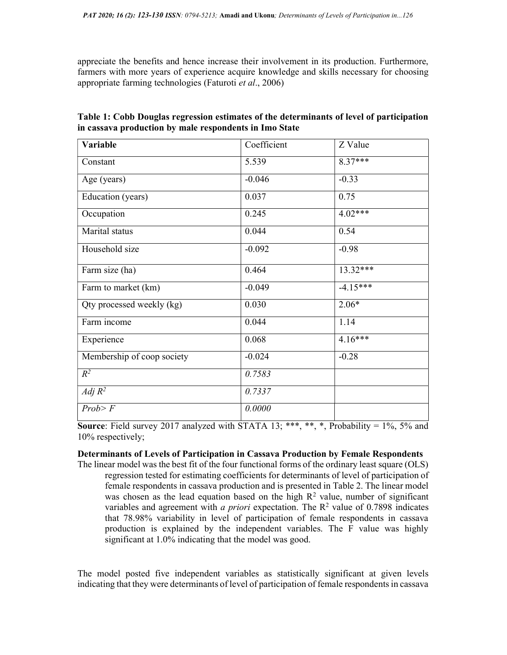appreciate the benefits and hence increase their involvement in its production. Furthermore, farmers with more years of experience acquire knowledge and skills necessary for choosing appropriate farming technologies (Faturoti et al., 2006)

| Variable                   | Coefficient | Z Value    |
|----------------------------|-------------|------------|
| Constant                   | 5.539       | $8.37***$  |
| Age (years)                | $-0.046$    | $-0.33$    |
| Education (years)          | 0.037       | 0.75       |
| Occupation                 | 0.245       | 4.02***    |
| Marital status             | 0.044       | 0.54       |
| Household size             | $-0.092$    | $-0.98$    |
| Farm size (ha)             | 0.464       | $13.32***$ |
| Farm to market (km)        | $-0.049$    | $-4.15***$ |
| Qty processed weekly (kg)  | 0.030       | $2.06*$    |
| Farm income                | 0.044       | 1.14       |
| Experience                 | 0.068       | $4.16***$  |
| Membership of coop society | $-0.024$    | $-0.28$    |
| $R^2$                      | 0.7583      |            |
| Adj $R^2$                  | 0.7337      |            |
| Prob > F                   | 0.0000      |            |

Table 1: Cobb Douglas regression estimates of the determinants of level of participation in cassava production by male respondents in Imo State

**Source:** Field survey 2017 analyzed with STATA 13; \*\*\*, \*\*, \*, Probability =  $1\%$ ,  $5\%$  and 10% respectively;

### Determinants of Levels of Participation in Cassava Production by Female Respondents

The linear model was the best fit of the four functional forms of the ordinary least square (OLS) regression tested for estimating coefficients for determinants of level of participation of female respondents in cassava production and is presented in Table 2. The linear model was chosen as the lead equation based on the high  $R<sup>2</sup>$  value, number of significant variables and agreement with *a priori* expectation. The  $\mathbb{R}^2$  value of 0.7898 indicates that 78.98% variability in level of participation of female respondents in cassava production is explained by the independent variables. The F value was highly significant at 1.0% indicating that the model was good.

The model posted five independent variables as statistically significant at given levels indicating that they were determinants of level of participation of female respondents in cassava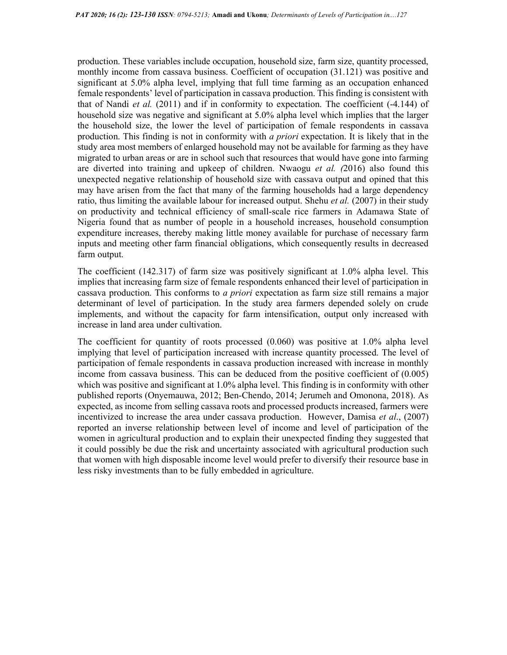production. These variables include occupation, household size, farm size, quantity processed, monthly income from cassava business. Coefficient of occupation (31.121) was positive and significant at 5.0% alpha level, implying that full time farming as an occupation enhanced female respondents' level of participation in cassava production. This finding is consistent with that of Nandi *et al.* (2011) and if in conformity to expectation. The coefficient  $(-4.144)$  of household size was negative and significant at 5.0% alpha level which implies that the larger the household size, the lower the level of participation of female respondents in cassava production. This finding is not in conformity with a priori expectation. It is likely that in the study area most members of enlarged household may not be available for farming as they have migrated to urban areas or are in school such that resources that would have gone into farming are diverted into training and upkeep of children. Nwaogu *et al.*  $(2016)$  also found this unexpected negative relationship of household size with cassava output and opined that this may have arisen from the fact that many of the farming households had a large dependency ratio, thus limiting the available labour for increased output. Shehu *et al.* (2007) in their study on productivity and technical efficiency of small-scale rice farmers in Adamawa State of Nigeria found that as number of people in a household increases, household consumption expenditure increases, thereby making little money available for purchase of necessary farm inputs and meeting other farm financial obligations, which consequently results in decreased farm output.

The coefficient (142.317) of farm size was positively significant at 1.0% alpha level. This implies that increasing farm size of female respondents enhanced their level of participation in cassava production. This conforms to a priori expectation as farm size still remains a major determinant of level of participation. In the study area farmers depended solely on crude implements, and without the capacity for farm intensification, output only increased with increase in land area under cultivation.

The coefficient for quantity of roots processed  $(0.060)$  was positive at 1.0% alpha level implying that level of participation increased with increase quantity processed. The level of participation of female respondents in cassava production increased with increase in monthly income from cassava business. This can be deduced from the positive coefficient of (0.005) which was positive and significant at 1.0% alpha level. This finding is in conformity with other published reports (Onyemauwa, 2012; Ben-Chendo, 2014; Jerumeh and Omonona, 2018). As expected, as income from selling cassava roots and processed products increased, farmers were incentivized to increase the area under cassava production. However, Damisa *et al.*, (2007) reported an inverse relationship between level of income and level of participation of the women in agricultural production and to explain their unexpected finding they suggested that it could possibly be due the risk and uncertainty associated with agricultural production such that women with high disposable income level would prefer to diversify their resource base in less risky investments than to be fully embedded in agriculture.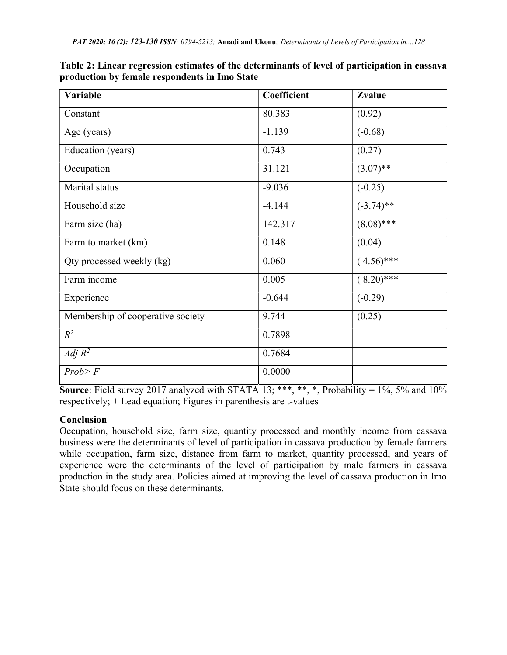| Table 2: Linear regression estimates of the determinants of level of participation in cassava |  |
|-----------------------------------------------------------------------------------------------|--|
| production by female respondents in Imo State                                                 |  |

| Variable                          | Coefficient | Zvalue       |
|-----------------------------------|-------------|--------------|
| Constant                          | 80.383      | (0.92)       |
| Age (years)                       | $-1.139$    | $(-0.68)$    |
| Education (years)                 | 0.743       | (0.27)       |
| Occupation                        | 31.121      | $(3.07)$ **  |
| Marital status                    | $-9.036$    | $(-0.25)$    |
| Household size                    | $-4.144$    | $(-3.74)$ ** |
| Farm size (ha)                    | 142.317     | $(8.08)$ *** |
| Farm to market (km)               | 0.148       | (0.04)       |
| Qty processed weekly (kg)         | 0.060       | $(4.56)$ *** |
| Farm income                       | 0.005       | $(8.20)$ *** |
| Experience                        | $-0.644$    | $(-0.29)$    |
| Membership of cooperative society | 9.744       | (0.25)       |
| $R^2$                             | 0.7898      |              |
| Adj $R^2$                         | 0.7684      |              |
| Prob > F                          | 0.0000      |              |

Source: Field survey 2017 analyzed with STATA 13; \*\*\*, \*\*, \*, Probability =  $1\%$ , 5% and  $10\%$ respectively; + Lead equation; Figures in parenthesis are t-values

# **Conclusion**

Occupation, household size, farm size, quantity processed and monthly income from cassava business were the determinants of level of participation in cassava production by female farmers while occupation, farm size, distance from farm to market, quantity processed, and years of experience were the determinants of the level of participation by male farmers in cassava production in the study area. Policies aimed at improving the level of cassava production in Imo State should focus on these determinants.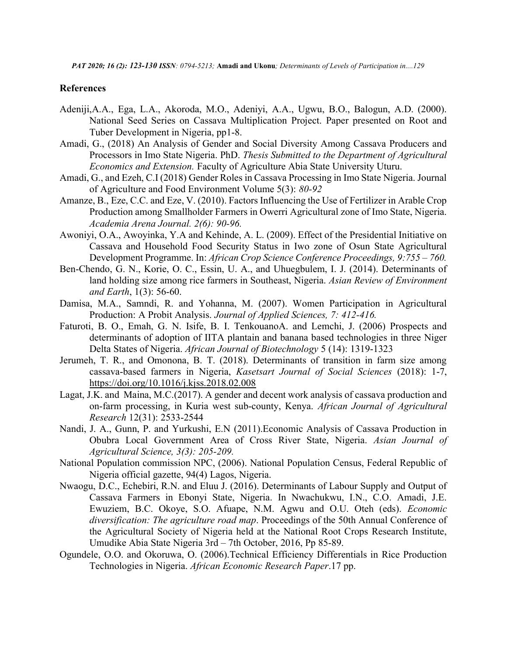PAT 2020; 16 (2): 123-130 ISSN: 0794-5213; Amadi and Ukonu; Determinants of Levels of Participation in....129

## References

- Adeniji,A.A., Ega, L.A., Akoroda, M.O., Adeniyi, A.A., Ugwu, B.O., Balogun, A.D. (2000). National Seed Series on Cassava Multiplication Project. Paper presented on Root and Tuber Development in Nigeria, pp1-8.
- Amadi, G., (2018) An Analysis of Gender and Social Diversity Among Cassava Producers and Processors in Imo State Nigeria. PhD. Thesis Submitted to the Department of Agricultural Economics and Extension. Faculty of Agriculture Abia State University Uturu.
- Amadi, G., and Ezeh, C.I (2018) Gender Roles in Cassava Processing in Imo State Nigeria. Journal of Agriculture and Food Environment Volume 5(3): 80-92
- Amanze, B., Eze, C.C. and Eze, V. (2010). Factors Influencing the Use of Fertilizer in Arable Crop Production among Smallholder Farmers in Owerri Agricultural zone of Imo State, Nigeria. Academia Arena Journal. 2(6): 90-96.
- Awoniyi, O.A., Awoyinka, Y.A and Kehinde, A. L. (2009). Effect of the Presidential Initiative on Cassava and Household Food Security Status in Iwo zone of Osun State Agricultural Development Programme. In: African Crop Science Conference Proceedings, 9:755 – 760.
- Ben-Chendo, G. N., Korie, O. C., Essin, U. A., and Uhuegbulem, I. J. (2014). Determinants of land holding size among rice farmers in Southeast, Nigeria. Asian Review of Environment and Earth, 1(3): 56-60.
- Damisa, M.A., Samndi, R. and Yohanna, M. (2007). Women Participation in Agricultural Production: A Probit Analysis. Journal of Applied Sciences, 7: 412-416.
- Faturoti, B. O., Emah, G. N. Isife, B. I. TenkouanoA. and Lemchi, J. (2006) Prospects and determinants of adoption of IITA plantain and banana based technologies in three Niger Delta States of Nigeria. African Journal of Biotechnology 5 (14): 1319-1323
- Jerumeh, T. R., and Omonona, B. T. (2018). Determinants of transition in farm size among cassava-based farmers in Nigeria, Kasetsart Journal of Social Sciences (2018): 1-7, https://doi.org/10.1016/j.kjss.2018.02.008
- Lagat, J.K. and Maina, M.C.(2017). A gender and decent work analysis of cassava production and on-farm processing, in Kuria west sub-county, Kenya. African Journal of Agricultural Research 12(31): 2533-2544
- Nandi, J. A., Gunn, P. and Yurkushi, E.N (2011).Economic Analysis of Cassava Production in Obubra Local Government Area of Cross River State, Nigeria. Asian Journal of Agricultural Science, 3(3): 205-209.
- National Population commission NPC, (2006). National Population Census, Federal Republic of Nigeria official gazette, 94(4) Lagos, Nigeria.
- Nwaogu, D.C., Echebiri, R.N. and Eluu J. (2016). Determinants of Labour Supply and Output of Cassava Farmers in Ebonyi State, Nigeria. In Nwachukwu, I.N., C.O. Amadi, J.E. Ewuziem, B.C. Okoye, S.O. Afuape, N.M. Agwu and O.U. Oteh (eds). Economic diversification: The agriculture road map. Proceedings of the 50th Annual Conference of the Agricultural Society of Nigeria held at the National Root Crops Research Institute, Umudike Abia State Nigeria 3rd – 7th October, 2016, Pp 85-89.
- Ogundele, O.O. and Okoruwa, O. (2006).Technical Efficiency Differentials in Rice Production Technologies in Nigeria. African Economic Research Paper.17 pp.